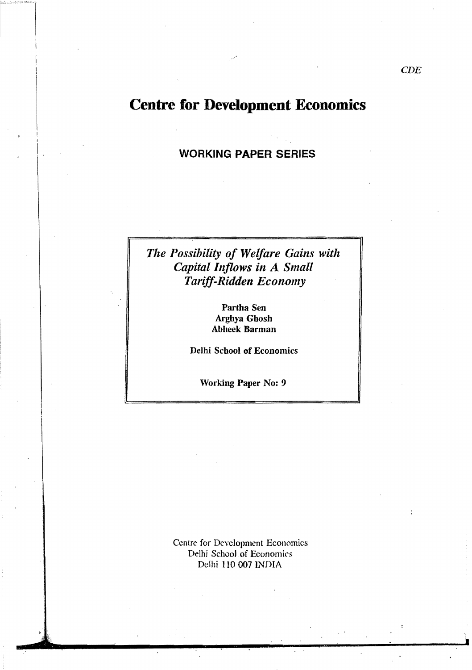# **Centre for Development Economics**

**WORKING PAPER SERIES** 

# *The Possibility of Welfare Gains with Capital Inflows in A Small* Tariff~Ridden *Economy*

Partha Sen Arghya Ghosh Abheek Barman

Delhi School of Economics

Working Paper No: 9

Centre for Development Economics Delhi School of Economics Delhi 110 007 INDIA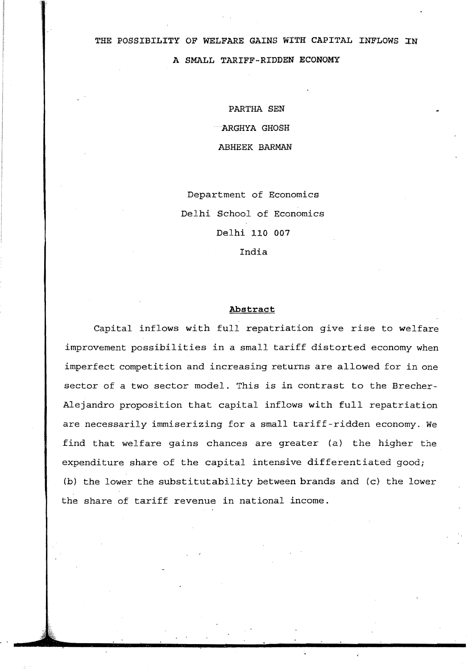# THE POSSIBILITY OF WELFARE GAINS WITH CAPITAL INFLOWS IN

#### A SMALL TARIFF-RIDDEN ECONOMY

PARTHA SEN ARGHYA GHOSH ABHEEK BARMAN

Department of Economics Delhi School of Economics Delhi 110 007 India

## **Abstract**

Capital inflows with full repatriation give rise to welfare improvement possibilities in a small tariff distorted economy when imperfect competition and increasing returns are allowed for in one sector of a two sector model. This is in contrast to the Brecher-Alejandro proposition that capital inflows with full repatriation are necessarily immiserizing for a small tariff-ridden economy. We find that welfare gains chances are greater (a) the higher the expenditure share of the capital intensive differentiated good; (b) the lower the substitutability between brands and (c) the lower the share of tariff revenue in national income.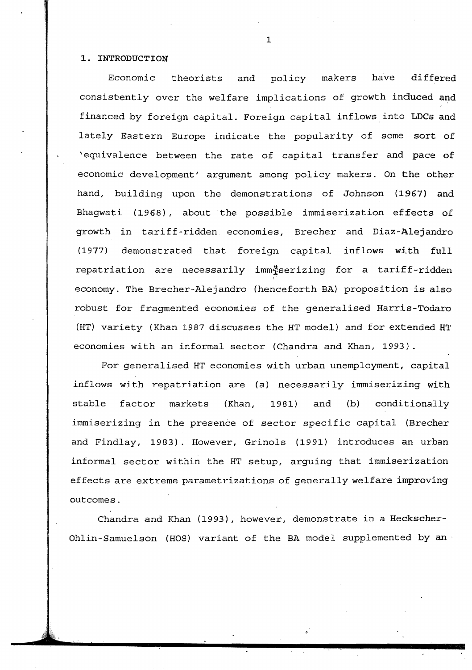### 1. INTRODUCTION

Economic theorists and policy makers have differed consistently over the welfare implications of growth induced and financed by foreign capital. Foreign capital inflows *into* LDCs and lately Eastern Europe indicate the popularity of some sort of 'equivalence between the rate of capital transfer and pace of economic development' argument among policy makers. On the other hand, building upon the demonstrations of Johnson (1967) and Bhagwati (1968), about the possible immiserization effects of growth in tariff-ridden economies, Brecher and Diaz-Alejandro (1977) demonstrated that foreign capital inflows with full repatriation are necessarily imm $\frac{3}{2}$ serizing for a tariff-ridden economy. The Brecher-Alejandro (henceforth BA) proposition *is* also robust for fragmented economies of the generalised Harris-Todaro (HT) variety (Khan 1987 discusses the HT model) and for extended HT economies with an informal sector (Chandra and Khan, 1993).

For generalised HT economies with urban unemployment, capital inflows with repatriation are (a) necessarily immiserizing with stable factor markets (Khan, 1981) and (b) conditionally immiserizing in the presence of sector specific capital (Brecher and Findlay, 1983). However, Grinols (1991) introduces an urban informal sector within the HT setup, arguing that immiserization effects are extreme parametrizations of generally welfare improving outcomes.

Chandra and Khan (1993), however, demonstrate in a Heckscher-Ohlin-Samuelson (HOS) variant of the BA model supplemented by an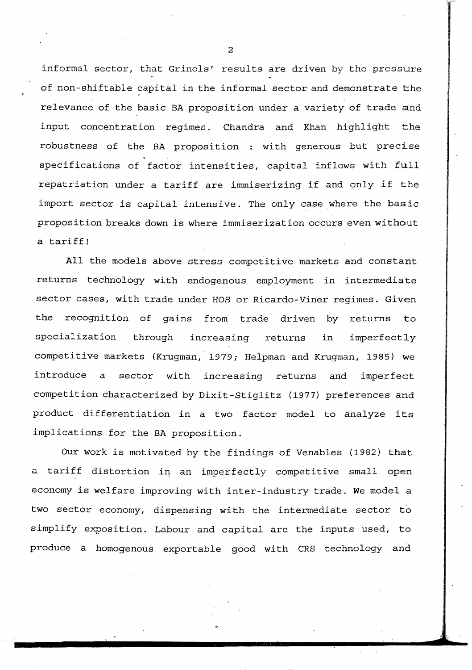informal sector, that Grinols' results are driven by the pressure of non-shiftable capital in the informal sector and demonstrate the relevance of the basic BA proposition under a variety of trade and input concentration regimes. Chandra and Khan highlight the robustness of the BA proposition : with generous but precise specifications of factor intensities, capital inflows with full repatriation under a tariff are immiserizing if and only if the import sector is capital intensive. The only.case where the basic proposition breaks down is where immiserization occurs even without a tariff!

All the models above stress competitive markets and constant returns technology with endogenous employment in intermediate sector cases, with trade under HOS or Ricardo-Viner regimes. Given the recognition of gains from trade driven by returns to specialization through increasing returns in imperfectly competitive markets (Krugman, 1979; Helpman and Krugman, 1985) we introduce a sector with increasing returns and imperfect competition characterized by Dixit-Stiglitz (1977) preferences and product differentiation in a two factor model to analyze its implications for the BA proposition.

Our work is motivated by the findings of Venables (1982) that a tariff distortion in an imperfectly competitive small open economy is welfare improving with inter-industry trade. We model a two sector economy, dispensing with the intermediate sector to simplify exposition. Labour and capital are the inputs used, to produce a homogenous exportable good with CRS technology and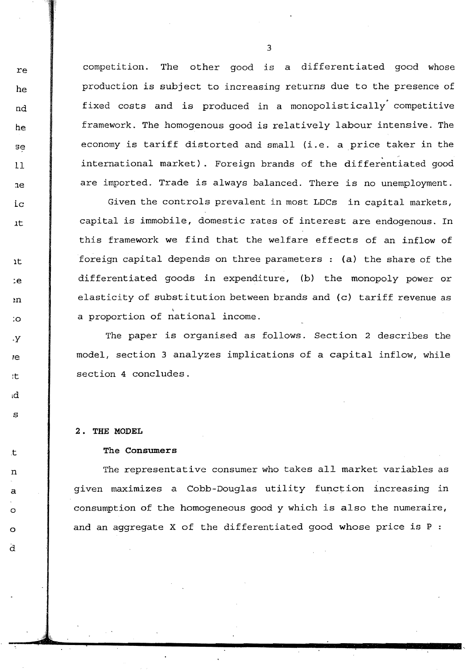competition. The other good is a differentiated good whose production is subject to increasing returns due to the presence of fixed costs and is produced in a monopolistically' competitive framework. The homogenous good is relatively labour intensive. The economy is tariff distorted and small (i.e. a price taker in the international market). Foreign brands of the differentiated good are imported. Trade is always balanced. There is no unemployment.

Given the controls prevalent in most LDCs in capital markets, capital is immobile, domestic rates of interest are endogenous. In this framework we find that the welfare effects of an inflow of foreign capital depends on three parameters : (a) the share of the differentiated goods in expenditure, (b) the monopoly power or elasticity of substitution between brands and (c) tariff revenue as a proportion of national income.

The paper is organised as follows. Section 2 describes the model, section 3 analyzes implications of a capital inflow, while section 4 concludes.

#### **2. THE MODEL**

re

he

nd

he

se

11

 $\mathbf{e}$ 

ic

It

lt

 $\cdot$ e

 $\mathbf{m}$ 

:0

.y

1e

土

s

ιd

t

n

a

o

o

 $\mathbf{\tilde{d}}$ 

#### **The Consumers**

The representative consumer who takes all market variables as given maximizes a Cobb-Douglas utility function increasing in consumption of the homogeneous good y which is also the numeraire, and an aggregate X of the differentiated good whose price is P :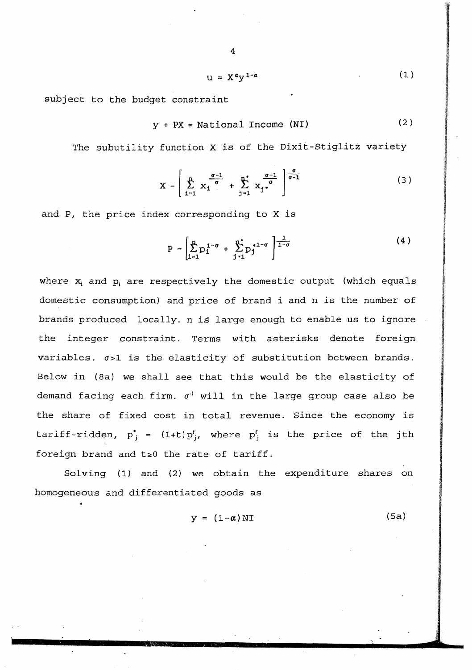$$
u = X^{\alpha} y^{1-\alpha} \tag{1}
$$

subject to the budget constraint

$$
y + PX = National Income (NI)
$$
 (2)

The subutility function X is of the Dixit-Stiglitz variety

$$
X = \left[ \sum_{i=1}^{n} x_i \frac{\sigma^{-1}}{\sigma} + \sum_{j=1}^{n^*} x_j \frac{\sigma^{-1}}{\sigma} \right] \frac{\sigma}{\sigma^{-1}}
$$
 (3)

and *P,* the price index corresponding to X is

$$
P = \left[ \sum_{i=1}^{n} p_i^{1-\sigma} + \sum_{j=1}^{n} p_j^{1-\sigma} \right]^{1-\sigma}
$$
 (4)

where  $x_i$  and  $p_i$  are respectively the domestic output (which equals domestic consumption) and price of brand i and n is the number of brands produced locally. n is large enough to enable us to ignore the integer constraint. Terms with asterisks denote foreign variables. *a>l* is the elasticity of substitution between brands. Below in (8a) we shall see that this would be the elasticity of demand facing each firm.  $\sigma^{-1}$  will in the large group case also be the share of fixed cost in total revenue. Since the economy is tariff-ridden,  $p^*_{j}$  = (1+t) $p^f_{j}$ , where  $p^f_{j}$  is the price of the jth foreign brand and  $t \ge 0$  the rate of tariff.

Solving (1) and (2) we obtain the expenditure shares on homogeneous and differentiated goods as

$$
y = (1-\alpha) NI
$$
 (5a)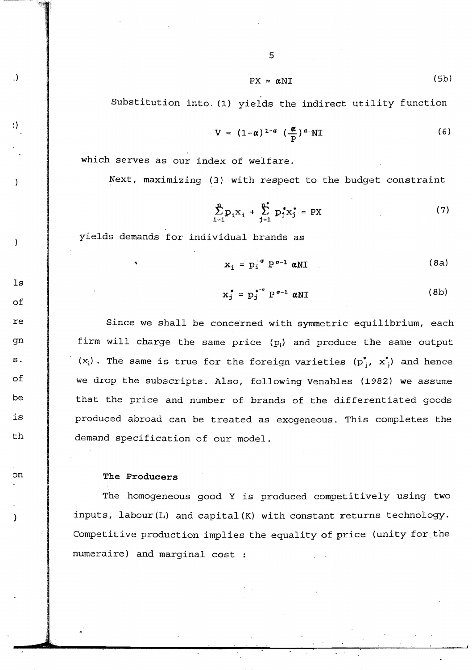$$
PX = \alpha NI \tag{5b}
$$

Substitution into. (1) yields the indirect utility function

5

$$
V = (1-\alpha)^{1-\alpha} \left(\frac{\alpha}{P}\right)^{\alpha} N I \tag{6}
$$

which serves as our index of welfare.

·)

:)

 $\lambda$ 

Is

 $\lambda$ 

of

re

gn

s.

of

be

is

th

 $\mathop{\rm cn}$ 

 $\mathcal{E}$ 

Next, maximizing (3) with respect to the budget constraint

$$
\sum_{i=1}^{n} p_i x_i + \sum_{j=1}^{n^*} p_j^* x_j^* = PX \tag{7}
$$

yields demands for individual brands as

 $x_i = p_i^{-\sigma} P^{\sigma-1}$  and (8a)

$$
x_j^* = p_j^{*^{\sigma}} P^{\sigma-1} \alpha N I \qquad (8b)
$$

Since we shall be concerned with symmetric equilibrium, each firm will charge the same price  $(p_i)$  and produce the same output  $(x_i)$ . The same is true for the foreign varieties  $(p_j^*, x_j^*)$  and hence we drop the subscripts. Also, following Venables (1982) we assume that the price and number of brands of the differentiated goods produced abroad can be treated as exogeneous. This completes the demand specification of our model.

# The **Producers**

The homogeneous good Y is produced competitively using two inputs, labour(L) and capital(K) with constant returns technology. Competitive production implies the equality of price (unity for. the numeraire) and marginal cost :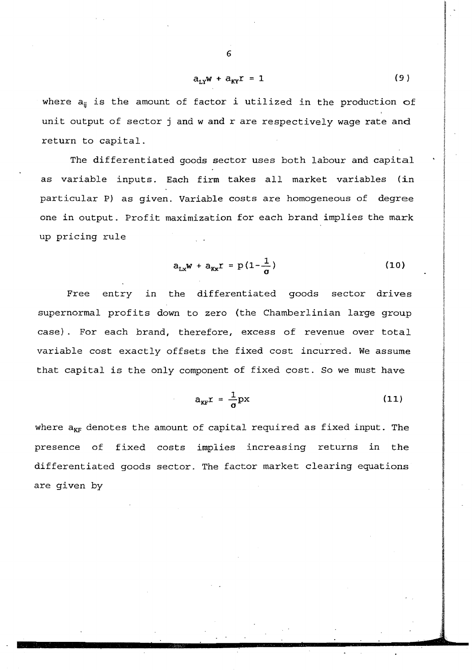$$
a_{LY}w + a_{KY}r = 1 \tag{9}
$$

where  $a_{ij}$  is the amount of factor i utilized in the production of unit output of sector j and wand r are respectively wage rate and return to capital.

The differentiated goods sector uses both labour and capital as variable inputs. Each firm takes all market variables (in particular P) as given. Variable costs are homogeneous of degree one in output. Profit maximization for each brand implies the mark up pricing rule

$$
a_{Lx}w + a_{kx}r = p(1-\frac{1}{\sigma})
$$
 (10)

Free entry in the differentiated goods sector drives supernormal profits down to zero (the Chamberlinian large group case). For each brand, therefore, excess of revenue over total variable cost exactly offsets the fixed cost incurred. We assume that capital is the only component of fixed cost. So we must have

$$
a_{\text{RF}}r = \frac{1}{\sigma}px \qquad (11)
$$

**ESCRIPTION** 

where  $a_{KF}$  denotes the amount of capital required as fixed input. The presence of fixed costs implies increasing returns in the differentiated goods sector. The factor market clearing equations are given by

$$
\boldsymbol{6}
$$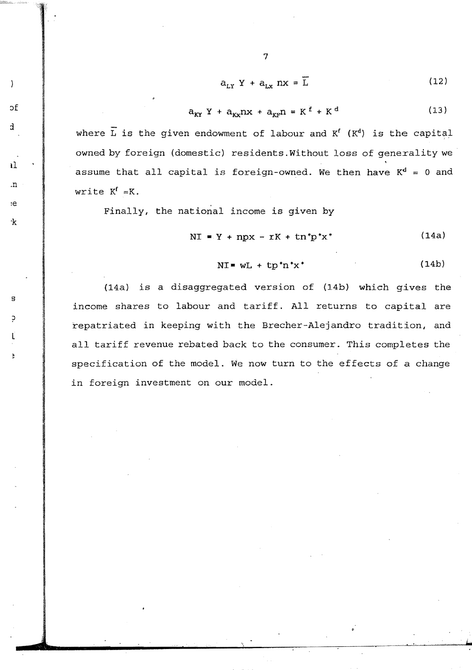$$
a_{LY} Y + a_{Lx} nx = \overline{L}
$$
 (12)

$$
a_{KY} Y + a_{Kx} nx + a_{KF} n = K^f + K^d \qquad (13)
$$

where  $\overline{L}$  is the given endowment of labour and  $K^{f}$  ( $K^{d}$ ) is the capital owned by foreign (domestic) residents. Without loss of generality we . assume that all capital is foreign-owned. We then have  $K^d = 0$  and write  $K^f = K$ .

Finally, the national income is given by

11

 $\lambda$ 

эf

d.

.n

٠e

'k

s

?

l

$$
NI = Y + npX - rK + tn^{*}p^{*}x^{*}
$$
 (14a)

$$
NI = wL + tp^*n^*x^*
$$
 (14b)

(14a) is a disaggregated version of (14b) which gives the income shares to labour and tariff. All returns to capital are repatriated in keeping with the Brecher-Alejandro tradition, and all tariff revenue rebated back to the consumer. This completes the specification of the model. We now turn to the effects of a change in foreign investment on our model.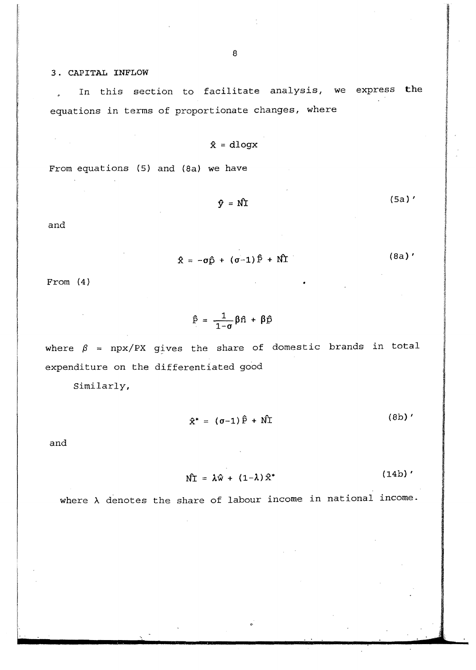3. CAPITAL INFLOW

In this section to facilitate analysis, we express the  $\overline{a}$ equations in terms of proportionate changes, where

 $\hat{x} = \text{dlog}x$ 

From equations (5) and (8a) we have

 $(5a)'$  $\hat{y} = \hat{M}$ 

and

 $\epsilon_{\rm max}$ 

$$
\hat{\mathbf{x}} = -\sigma \hat{\mathbf{p}} + (\sigma - 1) \hat{\mathbf{P}} + \hat{\mathbf{M}} \mathbf{I}
$$
 (8a)

From (4)

 $\hat{p} = \frac{1}{1-\sigma} \beta \hat{n} + \beta \hat{p}$ 

where  $\beta$  = npx/PX gives the share of domestic brands in total expenditure on the differentiated good

Similarly,

$$
\hat{\mathbf{x}}^* = (\sigma - 1) \hat{\mathbf{P}} + \hat{\mathbf{M}} \hat{\mathbf{I}}
$$
 (8b)

and

$$
\hat{\mathbf{NT}} = \lambda \hat{\mathbf{w}} + (1-\lambda) \hat{\mathbf{x}}^* \tag{14b'}
$$

where  $\lambda$  denotes the share of labour income in national income.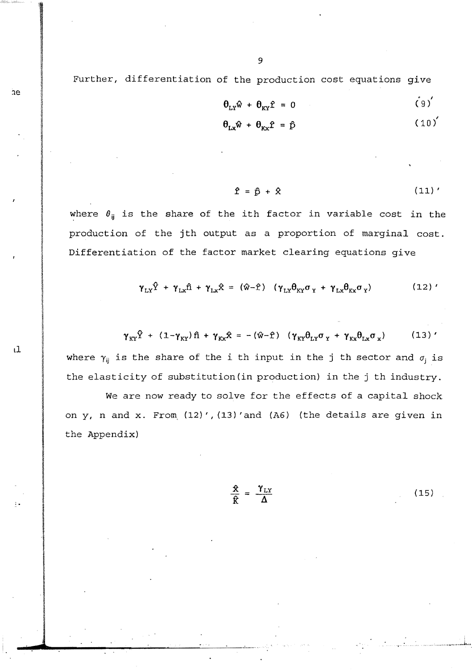Further, differentiation of the production cost equations give

$$
\theta_{\rm{Ly}}\hat{\omega} + \theta_{\rm{ky}}\hat{r} = 0 \qquad (\hat{9})'
$$

$$
\theta_{Lx}\hat{w} + \theta_{Kx}\hat{r} = \hat{p} \tag{10}'
$$

$$
\hat{\mathbf{r}} = \hat{\mathbf{p}} + \hat{\mathbf{x}} \tag{11}'
$$

where  $\theta_{ij}$  is the share of the ith factor in variable cost in the production of the jth output as a proportion of marginal cost. Differentiation of the factor market clearing equations give

$$
\gamma_{\rm LY} \hat{Y} + \gamma_{\rm Lx} \hat{n} + \gamma_{\rm Lx} \hat{x} = (\hat{w} - \hat{r}) (\gamma_{\rm LY} \theta_{\rm KY} \sigma_{\gamma} + \gamma_{\rm Lx} \theta_{\rm Kx} \sigma_{\gamma})
$$
(12)

$$
\gamma_{\text{KY}}\hat{Y} + (1-\gamma_{\text{KY}})\hat{n} + \gamma_{\text{IX}}\hat{x} = -(\hat{w}-\hat{r}) - (\gamma_{\text{KY}}\theta_{\text{LY}}\sigma_{\text{Y}} + \gamma_{\text{IX}}\theta_{\text{Lx}}\sigma_{\text{x}})
$$
(13)

where  $\gamma_{ij}$  is the share of the i th input in the j th sector and  $\sigma_j$  is the elasticity of substitution (in production) in the j th industry.

We are now ready to solve for the effects of a capital shock on y, n and x. From  $(12)'$ ,  $(13)'$  and  $(A6)$  (the details are given in the Appendix)

$$
\frac{\hat{\mathbf{x}}}{\hat{\mathbf{k}}} = \frac{\gamma_{\text{LY}}}{\Delta} \tag{15}
$$

 $ae$ 

II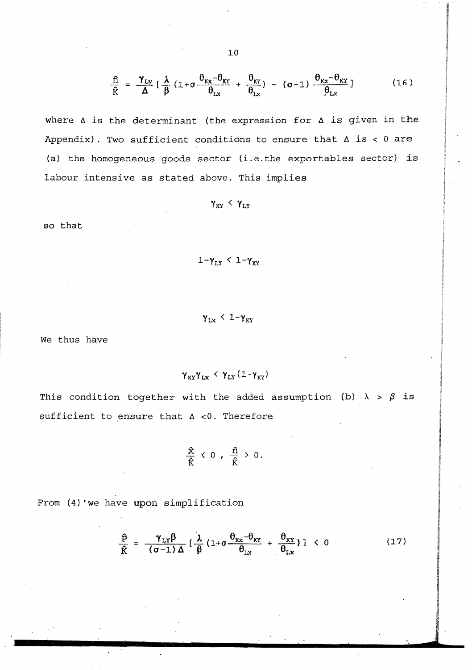$$
\frac{\hat{\mathbf{n}}}{\hat{\mathbf{K}}} = \frac{\mathbf{\gamma}_{\text{Ly}}}{\Delta} \left[ \frac{\lambda}{\beta} \left( 1 + \sigma \frac{\theta_{\text{Kx}} - \theta_{\text{KY}}}{\theta_{\text{Lx}}} + \frac{\theta_{\text{KY}}}{\theta_{\text{Lx}}} \right) - (\sigma - 1) \frac{\theta_{\text{Kx}} - \theta_{\text{KY}}}{\theta_{\text{Lx}}} \right]
$$
(16)

**INTERNATIONAL PROPERTY AND ARTISTS AND ARRESTS AND ARRESTS AND ARRESTS AND ARRESTS AND ARRESTS AND ARRESTS AND** 

f

*i* 

 $\omega$ 

where  $\Delta$  is the determinant (the expression for  $\Delta$  is given in the Appendix). Two sufficient conditions to ensure that  $\Delta$  is < 0 are (a) the homogeneous goods sector (i.e. the exportables sector) is labour intensive as stated above. This implies

 $\gamma_{\text{KY}}$  <  $\gamma_{\text{LY}}$ 

so that

$$
1-\gamma_{\rm LY} < 1-\gamma_{\rm KY}
$$

 $\gamma_{\text{tx}}$  < 1- $\gamma_{\text{ky}}$ 

We thus have

 $\gamma_{\text{KY}}\gamma_{\text{Lx}} \leq \gamma_{\text{LY}}(1-\gamma_{\text{KY}})$ 

This condition together with the added assumption (b)  $\lambda > \beta$  is sufficient to ensure that  $\Delta$  <0. Therefore

$$
\frac{\hat{x}}{\hat{k}} \prec 0 \ , \ \frac{\hat{n}}{\hat{k}} > 0 \, .
$$

From (4)'we have upon simplification

$$
\frac{\hat{P}}{\hat{K}} = \frac{\gamma_{LX}\beta}{(\sigma-1)\Delta} \left[ \frac{\lambda}{\beta} \left( 1 + \sigma \frac{\theta_{KX} - \theta_{KY}}{\theta_{LX}} + \frac{\theta_{KY}}{\theta_{LX}} \right) \right] < 0 \tag{17}
$$

$$
f_{\rm{max}}
$$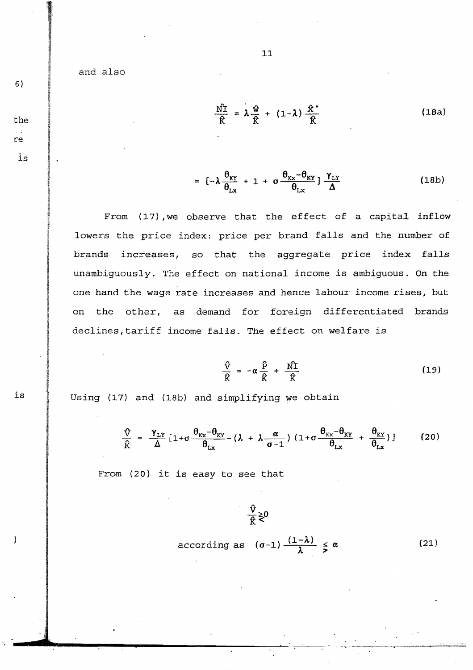and also

$$
\frac{\hat{N}\hat{I}}{\hat{K}} = \lambda \frac{\hat{W}}{\hat{K}} + (1-\lambda) \frac{\hat{X}^*}{\hat{K}}
$$
 (18a)

=  $[-\lambda \frac{\theta_{\text{KY}}}{\theta_{\text{Lx}}} + 1 + \sigma \frac{\theta_{\text{RX}} - \theta_{\text{KY}}}{\theta_{\text{Lx}}}] \frac{\gamma_{\text{LY}}}{\Delta}$  $(18b)$ 

From (17), we observe that the effect of a capital inflow lowers the price index: price per brand falls and the number of brands increases, so that the aggregate price index falls unambiguously. The effect on national income is ambiguous. On the one hand the wage rate increases and hence labour income rises, but on the other, as demand for foreign differentiated brands declines,tariff income falls. The effect on welfare is

$$
\frac{\hat{V}}{\hat{K}} = -\alpha \frac{\hat{P}}{\hat{K}} + \frac{\hat{N}\hat{I}}{\hat{K}}
$$
 (19)

Using (17) and (18b) and simplifying we obtain

$$
\frac{\hat{V}}{\hat{K}} = \frac{\gamma_{LY}}{\Delta} \left[ 1 + \sigma \frac{\theta_{Kx} - \theta_{KY}}{\theta_{Lx}} - (\lambda + \lambda \frac{\alpha}{\sigma - 1}) \left( 1 + \sigma \frac{\theta_{Kx} - \theta_{KY}}{\theta_{Lx}} + \frac{\theta_{KY}}{\theta_{Lx}} \right) \right]
$$
(20)

From (20) it is easy to see that

$$
\frac{\hat{v}}{\hat{\kappa}}\geq 0
$$

according as  $(\sigma-1) \frac{(1-\lambda)}{\lambda} \le \alpha$  (21)

is

<sup>1</sup>

the re is

6)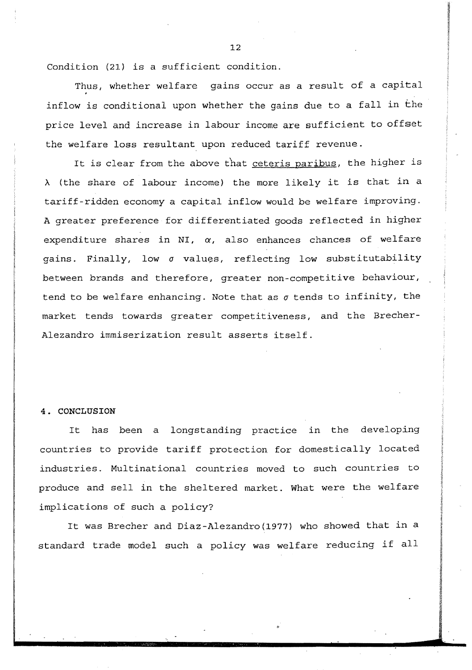Condition (21) is a sufficient condition.

Thus, whether welfare gains occur as a result of a capital inflow is conditional upon whether the gains due to a fall in the price level and increase in labour income are sufficient to offset the welfare loss resultant upon reduced tariff revenue.

It is clear from the above that ceteris paribus, the higher is  $\lambda$  (the share of labour income) the more likely it is that in a tariff-ridden economy a capital inflow would be welfare improving. A greater preference for differentiated goods reflected in higher expenditure shares in NI,  $\alpha$ , also enhances chances of welfare gains. Finally, low  $\sigma$  values, reflecting low substitutability between brands and therefore, greater non-competitive behaviour, tend to be welfare enhancing. Note that as *a* tends to infinity, the market tends towards greater competitiveness, and the Brecher-Alezandro immiserization result asserts itself.

#### **4. CONCLUSION**

It has been a longstanding practice in the developing countries to provide tariff protection for domestically located industries. Multinational countries moved to such countries to produce and sell in the sheltered market. What were the welfare implications of such a policy?

It was Brecher and Diaz-Alezandro(1977) who showed that in a standard trade model such a policy was welfare reducing if all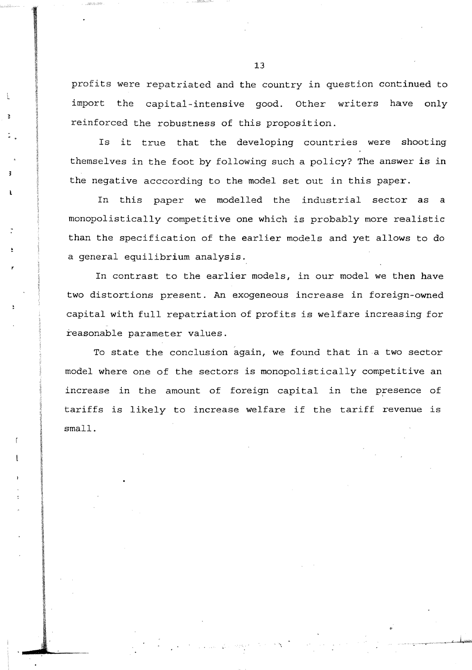profits were repatriated and the country in question continued to import the capital-intensive good. Other writers have only reinforced the robustness of this proposition.

L

r

Is it true that the developing countries were shooting themselves in the foot by following such a policy? The answer *is* in the negative acccording to the model set out in this paper.

In this paper we modelled the industrial sector as a monopolistically competitive one which is probably more realistic than the specification of the earlier models and yet allows to do a general equilibrium analysis.

In contrast to the earlier models, in our model we then have two distortions present. An exogeneous increase in foreign-owned capital with full repatriation of profits is welfare increasing for reasonable parameter values.

To state the conclusion again, we found that in a two sector model where one of the sectors is monopolistically competitive an increase in the amount of foreign capital in the presence of tariffs is likely to increase welfare if the tariff revenue is small.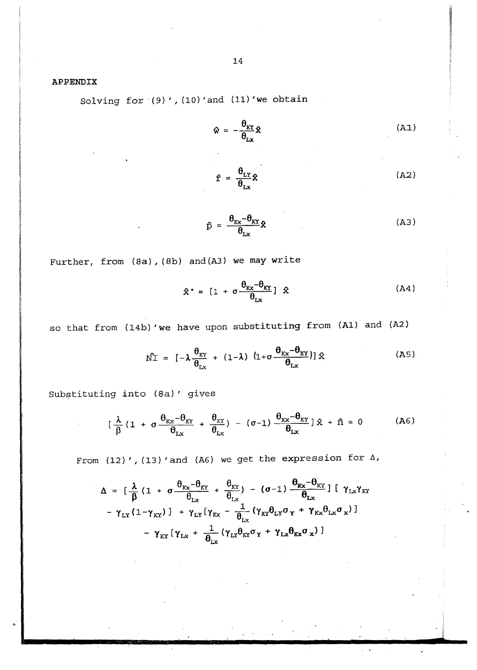# APPENDIX

Solving for  $(9)'$ ,  $(10)'$  and  $(11)'$  we obtain

$$
\hat{\mathbf{w}} = -\frac{\theta_{\text{KY}}}{\theta_{\text{Lx}}} \hat{\mathbf{x}} \tag{A1}
$$

$$
\hat{\mathbf{r}} = \frac{\theta_{\text{LY}}}{\theta_{\text{rx}}} \hat{\mathbf{x}} \tag{A2}
$$

$$
\hat{p} = \frac{\theta_{\text{Kx}} - \theta_{\text{KY}}}{\theta_{\text{r,x}}} \hat{x}
$$
 (A3)

Further, from (Sa), (Sb) and (A3) we may *write* 

$$
\hat{\mathbf{x}}^* = \begin{bmatrix} 1 + \sigma \frac{\theta_{\mathsf{K}\mathsf{X}} - \theta_{\mathsf{K}\mathsf{Y}}}{\theta_{\mathsf{L}\mathsf{X}}} \end{bmatrix} \hat{\mathbf{x}} \tag{A4}
$$

so that from (14b) 'we have upon substituting from (Al) and (A2)

$$
\hat{\mathbf{M}} = [-\lambda \frac{\theta_{\mathbf{K}\mathbf{Y}}}{\theta_{\mathbf{L}\mathbf{x}}} + (1-\lambda) \left\{1 + \sigma \frac{\theta_{\mathbf{K}\mathbf{x}} - \theta_{\mathbf{K}\mathbf{Y}}}{\theta_{\mathbf{L}\mathbf{x}}}\right\}\right] \hat{\mathbf{x}} \tag{A5}
$$

Substituting into (8a)' gives

$$
\left[\frac{\lambda}{\beta}\left(1\ +\ \sigma\frac{\theta_{\rm Kx}-\theta_{\rm Ky}}{\theta_{\rm Lx}}\ +\ \frac{\theta_{\rm Ky}}{\theta_{\rm Lx}}\right)\ -\ (\sigma-1)\ \frac{\theta_{\rm Kx}-\theta_{\rm Ky}}{\theta_{\rm Lx}}\right]\hat{x}\ +\ \hat{n}\ =\ 0\tag{A6}
$$

From  $(12)'$ ,  $(13)'$  and  $(A6)$  we get the expression for  $\Delta$ ,

$$
\Delta = \left[ \frac{\lambda}{\beta} \left( 1 + \sigma \frac{\theta_{Kx} - \theta_{Ky}}{\theta_{Lx}} + \frac{\theta_{Ky}}{\theta_{Lx}} \right) - (\sigma - 1) \frac{\theta_{Kx} - \theta_{Ky}}{\theta_{Lx}} \right] \left[ \gamma_{Lx} \gamma_{Ky} \right] - \gamma_{LY} (1 - \gamma_{Ky}) \left[ \gamma_{Kx} \left[ \gamma_{Kx} - \frac{1}{\theta_{Lx}} \left( \gamma_{Ky} \theta_{Ly} \sigma_x + \gamma_{Kx} \theta_{Lx} \sigma_x \right) \right] \right] - \gamma_{KY} \left[ \gamma_{Lx} + \frac{1}{\theta_{Lx}} \left( \gamma_{LY} \theta_{KY} \sigma_x + \gamma_{Lx} \theta_{Kx} \sigma_x \right) \right]
$$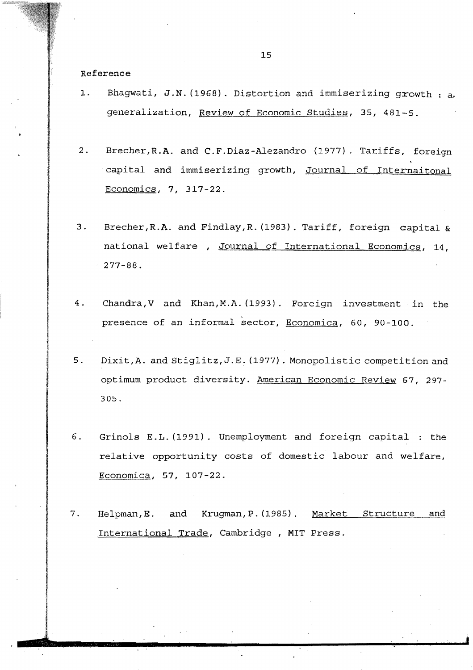Reference

- $1.$ Bhagwati, J.N. (1968). Distortion and immiserizing growth :  $a<sub>r</sub>$ generalization, Review of Economic Studies, 35, 481-5.
- 2. Brecher, R.A. and C.F.Diaz-Alezandro (1977). Tariffs, foreign capital and immiserizing growth, Journal of Internaitonal Economics, 7, 317-22.
- 3. Brecher, R.A. and Findlay, R. (1983). Tariff, foreign capital & national welfare , Journal of International Economics, 14, 277-88.
- 4. Chandra, V and Khan, M.A. (1993). Foreign investment in the presence of an informal sector, Economica, 60, 90-100.
- 5. Dixit,A. and Stiglitz,J.E: (1977). Monopolistic competition and optimum product diversity. American Economic Review 67, 297 305.
- 6. Grinols E.L. (1991). Unemployment and foreign capital: the relative opportunity costs of domestic labour and welfare, Economica, 57, 107-22.
- 7. Helpman, E. and Krugman, P. (1985). Market Structure and International Trade, Cambridge, MIT Press.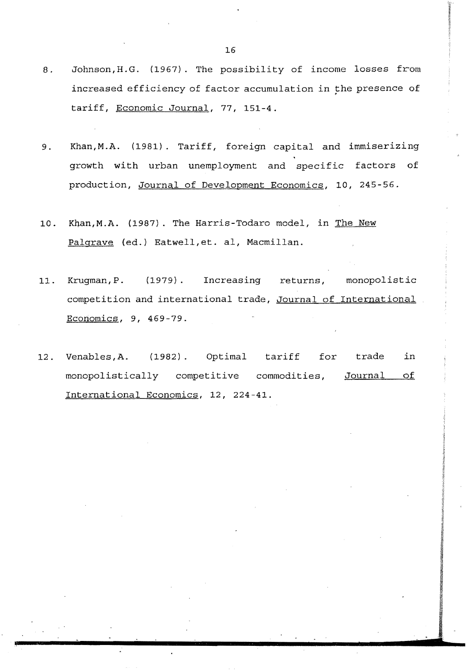- 8. Johnson, H.G. (1967). The possibility of income losses from increased efficiency of factor accumulation in the presence of tariff, Economic Journal, 77, 151-4.
- 9. Khan, M.A. (1981). Tariff, foreign capital and immiserizing growth with urban unemployment and specific factors of production, Journal of Development Economics, 10, 245-56.
- 10. Khan, M.A. (1987). The Harris-Todaro model, in The New Palgrave (ed.) Eatwell,et. aI, Macmillan.
- 11. Krugman, P. (1979). Increasing returns, monopolistic competition and international trade, Journal of International Economics, 9, 469-79.
- 12. Venables, A. (1982). Optimal tariff for trade in monopolistically competitive commodities, Journal of International Economics, 12, 224-41.

J

**BEAT REACTOR**